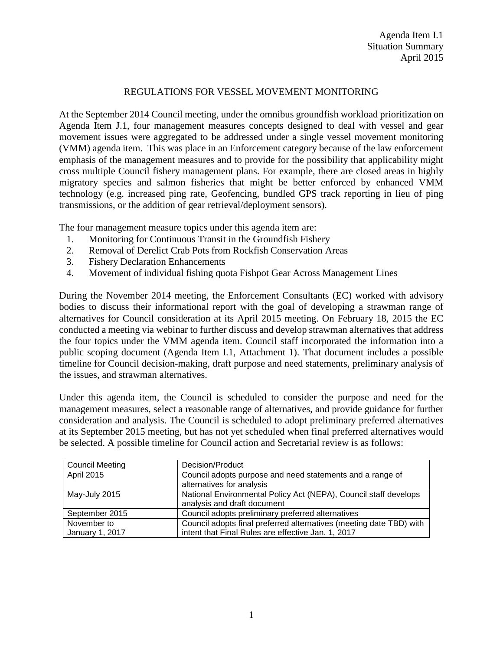## REGULATIONS FOR VESSEL MOVEMENT MONITORING

At the September 2014 Council meeting, under the omnibus groundfish workload prioritization on Agenda Item J.1, four management measures concepts designed to deal with vessel and gear movement issues were aggregated to be addressed under a single vessel movement monitoring (VMM) agenda item. This was place in an Enforcement category because of the law enforcement emphasis of the management measures and to provide for the possibility that applicability might cross multiple Council fishery management plans. For example, there are closed areas in highly migratory species and salmon fisheries that might be better enforced by enhanced VMM technology (e.g. increased ping rate, Geofencing, bundled GPS track reporting in lieu of ping transmissions, or the addition of gear retrieval/deployment sensors).

The four management measure topics under this agenda item are:

- 1. Monitoring for Continuous Transit in the Groundfish Fishery
- 2. Removal of Derelict Crab Pots from Rockfish Conservation Areas
- 3. Fishery Declaration Enhancements
- 4. Movement of individual fishing quota Fishpot Gear Across Management Lines

During the November 2014 meeting, the Enforcement Consultants (EC) worked with advisory bodies to discuss their informational report with the goal of developing a strawman range of alternatives for Council consideration at its April 2015 meeting. On February 18, 2015 the EC conducted a meeting via webinar to further discuss and develop strawman alternatives that address the four topics under the VMM agenda item. Council staff incorporated the information into a public scoping document (Agenda Item I.1, Attachment 1). That document includes a possible timeline for Council decision-making, draft purpose and need statements, preliminary analysis of the issues, and strawman alternatives.

Under this agenda item, the Council is scheduled to consider the purpose and need for the management measures, select a reasonable range of alternatives, and provide guidance for further consideration and analysis. The Council is scheduled to adopt preliminary preferred alternatives at its September 2015 meeting, but has not yet scheduled when final preferred alternatives would be selected. A possible timeline for Council action and Secretarial review is as follows:

| <b>Council Meeting</b>         | Decision/Product                                                                                                          |
|--------------------------------|---------------------------------------------------------------------------------------------------------------------------|
| <b>April 2015</b>              | Council adopts purpose and need statements and a range of<br>alternatives for analysis                                    |
| May-July 2015                  | National Environmental Policy Act (NEPA), Council staff develops<br>analysis and draft document                           |
| September 2015                 | Council adopts preliminary preferred alternatives                                                                         |
| November to<br>January 1, 2017 | Council adopts final preferred alternatives (meeting date TBD) with<br>intent that Final Rules are effective Jan. 1, 2017 |